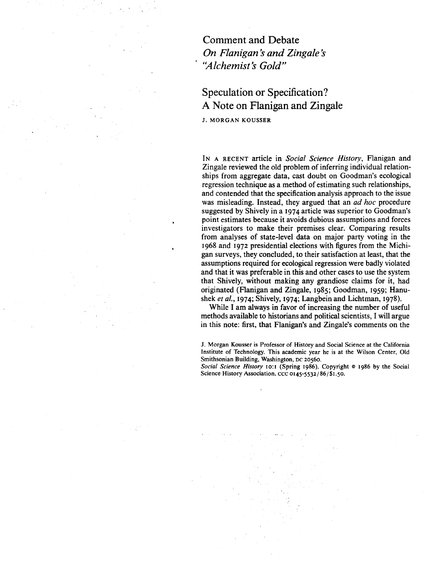Comment and Debate *On Flanigan s and Zingale s*  "Alchemist's Gold"

# Speculation or Specification? A Note on Flanigan and Zingale

J. MORGAN KOUSSER

IN A RECENT article in *Social Science History,* Flanigan and Zingale reviewed the old problem of inferring individual relationships from aggregate data, cast doubt on Goodman's ecological regression technique as a method of estimating such relationships, and contended that the specification analysis approach to the issue was misleading. Instead, they argued that an *ad hoc* procedure suggested by Shively in a 1974 article was superior to Goodman's point estimates because it avoids dubious assumptions and forces investigators to make their premises clear. Comparing results from analyses of state-level data on major party voting in the 1968 and 1972 presidential elections with figures from the Michigan surveys, they concluded, to their satisfaction at least, that the assumptions required for ecological regression were badly violated and that it was preferable in this and other cases to use the system that Shively, without making any grandiose claims for it, had originated (Flanigan and Zingale, 1985; Goodman, 1959; Hanushek *eta/.,* 1974; Shively, 1974; Langbein and Lichtman, 1978).

While I am always in favor of increasing the number of useful methods available to historians and political scientists, I will argue in this note: first, that Flanigan's and Zingale's comments on the

J. Morgan Kousser is Professor of History and Social Science at the California Institute of Technology. This academic year he is at the Wilson Center, Old Smithsonian Building, Washington, oc 20560.

*Social Science History* 10:1 (Spring 1986). Copyright © 1986 by the Social Science History Association. ccc 0145-5532/86/\$1.50.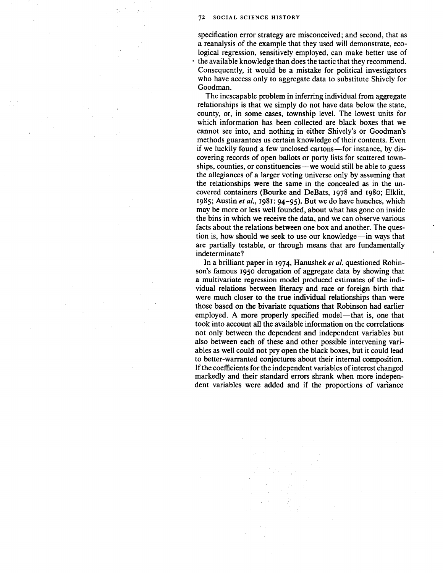specification error strategy are misconceived; and second, that as a reanalysis of the example that they used will demonstrate, ecological regression, sensitively employed, can make better use of the available knowledge than does the tactic that they recommend. Consequently, it would be a mistake for political investigators who have access only to aggregate data to substitute Shively for Goodman.

The inescapable problem in inferring individual from aggregate relationships is that we simply do not have data below the state, county, or, in some cases, township level. The lowest units for which information has been collected are black boxes that we cannot see into, and nothing in either Shively's or Goodman's methods guarantees us certain knowledge of their contents. Even if we luckily found a few unclosed cartons—for instance, by discovering records of open ballots or party lists for scattered townships, counties, or constituencies—we would still be able to guess the allegiances of a larger voting universe only by assuming that the relationships were the same in the concealed as in the uncovered containers (Bourke and DeBats, 1978 and 1980; Elklit, 1985; Austin *eta/.,* 1981: 94-95). But we do have hunches, which may be more or less well founded, about what has gone on inside the bins in which we receive the data, and we can observe various facts about the relations between one box and another. The question is, how should we seek to use our knowledge—in ways that are partially testable, or through means that are fundamentally indeterminate?

In a brilliant paper in 1974, Hanushek *eta/.* questioned Robinson's famous 1950 derogation of aggregate data by showing that a multivariate regression model produced estimates of the individual relations between literacy and race or foreign birth that were much closer to the true individual relationships than were those based on the bivariate equations that Robinson had earlier employed. A more properly specified model—that is, one that took into account all the available information on the correlations not only between the dependent and independent variables but also between each of these and other possible intervening variables as well could not pry open the black boxes, but it could lead to better-warranted conjectures about their internal composition. If the coefficients for the independent variables of interest changed markedly and their standard errors shrank when more independent variables were added and if the proportions of variance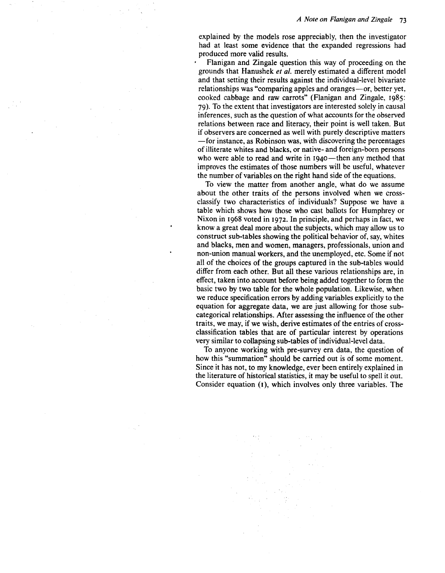explained by the models rose appreciably, then the investigator had at least some evidence that the expanded regressions had produced more valid results.

Flanigan and Zingale question this way of proceeding on the grounds that Hanushek *et a/.* merely estimated a different model and that setting their results against the individual-level bivariate relationships was "comparing apples and oranges-or, better yet, cooked cabbage and raw carrots" (Flanigan and Zingale, 1985: 79 ). To the extent that investigators are interested solely in causal inferences, such as the question of what accounts for the observed relations between race and literacy, their point is well taken. But if observers are concerned as well with purely descriptive matters -for instance, as Robinson was, with discovering the percentages of illiterate whites and blacks, or native- and foreign-born persons who were able to read and write in 1940—then any method that improves the estimates of those numbers will be useful, whatever the number of variables on the right hand side of the equations.

To view the matter from another angle, what do we assume about the other traits of the persons involved when we crossclassify two characteristics of individuals? Suppose we have a table which shows how those who cast ballots for Humphrey or Nixon in 1968 voted in 1972. In principle, and perhaps in fact, we know a great deal more about the subjects, which may allow us to construct sub-tables showing the political behavior of, say, whites and blacks, men and women, managers, professionals, union and non-union manual workers, and the unemployed, etc. Some if not all of the choices of the groups captured in the sub-tables would differ from each other. But all these various relationships are, in effect, taken into account before being added together to form the basic two by two table for the whole population. Likewise, when we reduce specification errors by adding variables explicitly to the equation for aggregate data, we are just allowing for those subcategorical relationships. Mter assessing the influence of the other traits, we may, if we wish, derive estimates of the entries of crossclassification tables that are of particular interest by operations very similar to collapsing sub-tables of individual-level data.

To anyone working with pre-survey era data, the question of how this "summation" should be carried out is of some moment. Since it has not, to my knowledge, ever been entirely explained in the literature of historical statistics, it may be useful to spell it out. Consider equation (1), which involves only three variables. The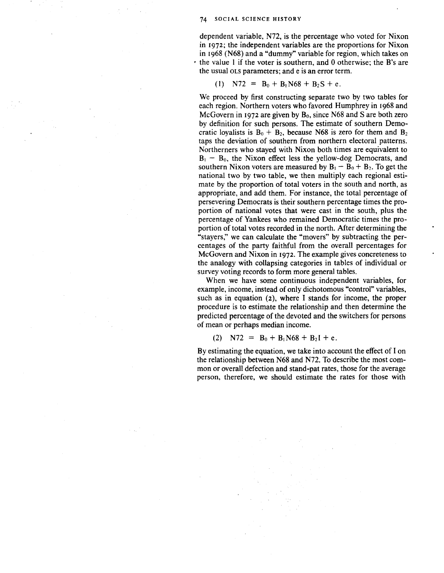dependent variable, N72, is the percentage who voted for Nixon in 1972; the independent variables are the proportions for Nixon in 1968 (N68) and a "dummy" variable for region, which takes on • the value l if the voter is southern, and 0 otherwise; the B's are the usual OLS parameters; and e is an error term.

(1) 
$$
N72 = B_0 + B_1N68 + B_2S + e
$$
.

We proceed by first constructing separate two by two tables for each region. Northern voters who favored Humphrey in 1968 and McGovern in 1972 are given by  $B_0$ , since N68 and S are both zero by definition for such persons. The estimate of southern Democratic loyalists is  $B_0 + B_2$ , because N68 is zero for them and  $B_2$ taps the deviation of southern from northern electoral patterns. Northerners who stayed with Nixon both times are equivalent to  $B_1 - B_0$ , the Nixon effect less the yellow-dog Democrats, and southern Nixon voters are measured by  $B_1 - B_0 + B_2$ . To get the national two by two table, we then multiply each regional estimate by the proportion of total voters in the south and north, as appropriate, and add them. For instance, the total percentage of persevering Democrats is their southern percentage times the proportion of national votes that were cast in the south, plus the percentage of Yankees who remained Democratic times the proportion of total votes recorded in the north. After determining the "stayers," we can calculate the "movers" by subtracting the percentages of the party faithful from the overall percentages for McGovern and Nixon in 1972. The example gives concreteness to the analogy with collapsing categories in tables of individual or survey voting records to form more general tables.

When we have some continuous independent variables, for example, income, instead of only dichotomous "control" variables, such as in equation (2), where I stands for income, the proper procedure is to estimate the relationship and then determine the predicted percentage of the devoted and the switchers for persons of mean or perhaps median income.

(2)  $N72 = B_0 + B_1N68 + B_2I + e$ .

By estimating the equation, we take into account the effect of I on the relationship between N68 and N72. To describe the most common or overall defection and stand-pat rates, those for the average person, therefore, we should estimate the rates for those with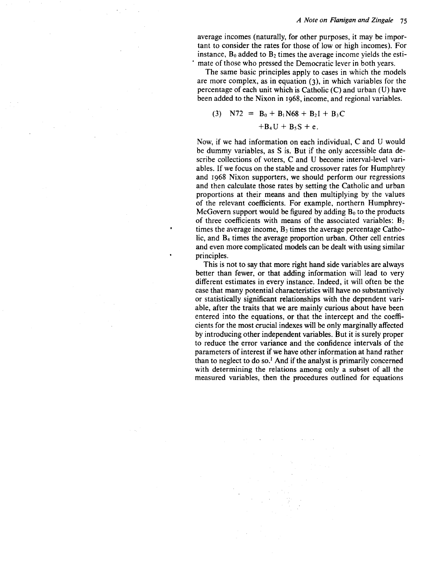average incomes (naturally, for other purposes, it may be important to consider the rates for those of low or high incomes). For instance,  $B_0$  added to  $B_2$  times the average income yields the estimate of those who pressed the Democratic lever in both years.

The same basic principles apply to cases in which the models are more complex, as in equation (3), in which variables for the percentage of each unit which is Catholic (C) and urban (U) have been added to the Nixon in 1968, income, and regional variables.

(3) 
$$
NT2 = B_0 + B_1N68 + B_2I + B_3C
$$
  
+ $B_4U + B_5S + e$ .

Now, if we had information on each individual, C and U would be dummy variables, as S is. But if the only accessible data describe collections of voters, C and U become interval-level variables. If we focus on the stable and crossover rates for Humphrey and 1968 Nixon supporters, we should perform our regressions and then calculate those rates by setting the Catholic and urban proportions at their means and then multiplying by the values of the relevant coefficients. For example, northern Humphrey-McGovern support would be figured by adding  $B_0$  to the products of three coefficients with means of the associated variables:  $B_2$ times the average income,  $B_3$  times the average percentage Catholic, and B4 times the average proportion urban. Other cell entries and even more complicated models can be dealt with using similar principles.

This is not to say that more right hand side variables are always better than fewer, or that adding information will lead to very different estimates in every instance. Indeed, it will often be the case that many potential characteristics will have no substantively or statistically significant relationships with the dependent variable, after the traits that we are mainly curious about have been entered into the equations, or that the intercept and the coefficients for the most crucial indexes will be only marginally affected by introducing other independent variables. But it is surely proper to reduce the error variance and the confidence intervals of the parameters of interest if we have other information at hand rather than to neglect to do so.<sup>1</sup> And if the analyst is primarily concerned with determining the relations among only a subset of all the measured variables, then the procedures outlined for equations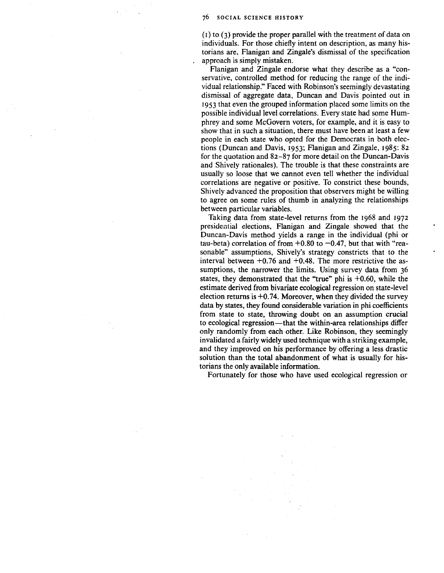(1) to (3) provide the proper parallel with the treatment of data on individuals. For those chiefly intent on description, as many historians are, Flanigan and Zingale's dismissal of the specification approach is simply mistaken.

Flanigan and Zingale endorse what they describe as a "conservative, controlled method for reducing the range of the individual relationship." Faced with Robinson's seemingly devastating dismissal of aggregate data, Duncan and Davis pointed out in 1953 that even the grouped information placed some limits on the possible individual level correlations. Every state had some Humphrey and some McGovern voters, for example, and it is easy to show that in such a situation, there must have been at least a few people in each state who opted for the Democrats in both elections (Duncan and Davis, 1953; Flanigan and Zingale, 1985: 82 for the quotation and 82-87 for more detail on the Duncan-Davis and Shively rationales). The trouble is that these constraints are usually so loose that we cannot even tell whether the individual correlations are negative or positive. To constrict these bounds, Shively advanced the proposition that observers might be willing to agree on some rules of thumb in analyzing the relationships between particular variables.

Taking data from state-level returns from the 1968 and 1972 presidential elections, Flanigan and Zingale showed that the Duncan-Davis method yields a range in the individual (phi or tau-beta) correlation of from  $+0.80$  to  $-0.47$ , but that with "reasonable" assumptions, Shively's strategy constricts that to the interval between  $+0.76$  and  $+0.48$ . The more restrictive the assumptions, the narrower the limits. Using survey data from 36 states, they demonstrated that the "true" phi is  $+0.60$ , while the estimate derived from bivariate ecological regression on state-level election returns is  $+0.74$ . Moreover, when they divided the survey data by states, they found considerable variation in phi coefficients from state to state, throwing doubt on an assumption crucial to ecological regression—that the within-area relationships differ only randomly from each other. Like Robinson, they seemingly invalidated a fairly widely used technique with a striking example, and they improved on his performance by offering a less drastic solution than the total abandonment of what is usually for historians the only available information.

Fortunately for those who have used ecological regression or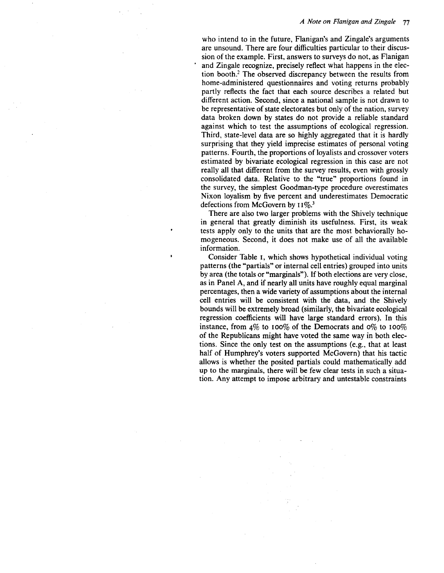# *A Note on Flanigan and Zingale* 77

who intend to in the future, Flanigan's and Zingale's arguments are unsound. There are four difficulties particular to their discussion of the example. First, answers to surveys do not, as Flanigan and Zingale recognize, precisely reflect what happens in the election booth.<sup>2</sup> The observed discrepancy between the results from home-administered questionnaires and voting returns probably partly reflects the fact that each source describes a related but different action. Second, since a national sample is not drawn to be representative of state electorates but only of the nation, survey data broken down by states do not provide a reliable standard against which to test the assumptions of ecological regression. Third, state-level data are so highly aggregated that it is hardly surprising that they yield imprecise estimates of personal voting patterns. Fourth, the proportions of loyalists and crossover voters estimated by bivariate ecological regression in this case are not really all that different from the survey results, even with grossly consolidated data. Relative to the "true" proportions found in the survey, the simplest Goodman-type procedure overestimates Nixon loyalism by five percent and underestimates Democratic defections from McGovern by  $11\%$ <sup>3</sup>

There are also two larger problems with the Shively technique in general that greatly diminish its usefulness. First, its weak tests apply only to the units that are the most behaviorally homogeneous. Second, it does not make use of all the available information.

Consider Table I, which shows hypothetical individual voting patterns (the "partials" or internal cell entries) grouped into units by area (the totals or "marginals"). If both elections are very close, as in Panel A, and if nearly all units have roughly equal marginal percentages, then a wide variety of assumptions about the internal cell entries will be consistent with the data, and the Shively bounds will be extremely broad (similarly, the bivariate ecological regression coefficients will have large standard errors). In this instance, from  $4\%$  to 100% of the Democrats and 0% to 100% of the Republicans might have voted the same way in both elections. Since the only test on the assumptions (e.g., that at least half of Humphrey's voters supported McGovern) that his tactic allows is whether the posited partials could mathematically add up to the marginals, there will be few clear tests in such a situation. Any attempt to impose arbitrary and untestable constraints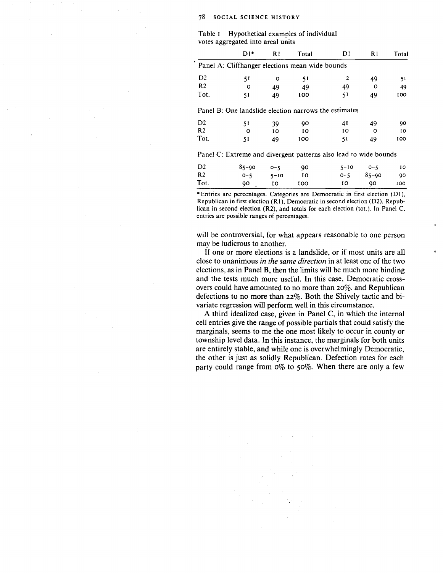| Table I Hypothetical examples of individual |
|---------------------------------------------|
| votes aggregated into areal units           |

|                | $D1*$ | R1 | Total                                                            | DΙ | R1 | Total |
|----------------|-------|----|------------------------------------------------------------------|----|----|-------|
|                |       |    | Panel A: Cliffhanger elections mean wide bounds                  |    |    |       |
| D <sub>2</sub> | 51    | o  | 51                                                               | 2  | 49 | 51    |
| R <sub>2</sub> | O     | 49 | 49                                                               | 49 | ∩  | 49    |
| Tot.           | 51    | 49 | 100                                                              | 51 | 49 | 100   |
|                |       |    | Panel B: One landslide election narrows the estimates            |    |    |       |
| D <sub>2</sub> | 51    | 39 | 90                                                               | 41 | 49 | 90    |
| R <sub>2</sub> | Ω     | 10 | 10                                                               | 10 | Ω  | 10    |
| Tot.           | 51    | 49 | 100                                                              | 51 | 49 | 100   |
|                |       |    | Panel C: Extreme and divergent patterns also lead to wide bounds |    |    |       |

| D2        | 85-90 0-5    |            | - 90 | $5 - 10$ $0 - 5$     | $\overline{10}$ |
|-----------|--------------|------------|------|----------------------|-----------------|
| <b>R2</b> | $0 - 5$ 5-10 |            | - 10 | $0 - 5$ $85 - 90$ 90 |                 |
| Tot.      |              | 90, 10 100 |      | $10 \t 90 \t 100$    |                 |

\*Entries are percentages. Categories are Democratic in first election (D1), Republican in first election (RI }, Democratic in second election (D2}, Republican in second election (R2), and totals for each election (tot.). In Panel C. entries are possible ranges of percentages.

will be controversial, for what appears reasonable to one person may be ludicrous to another.

If one or more elections is a landslide, or if most units are all close to unanimous *in the same direction* in at least one of the two elections, as in Panel B, then the limits will be much more binding and the tests much more useful. In this case, Democratic crossovers could have amounted to no more than 20%, and Republican defections to no more than 22%. Both the Shively tactic and bivariate regression will perform well in this circumstance.

A third idealized case, given in Panel C, in which the internal cell entries give the range of possible partials that could satisfy the marginals, seems to me the one most likely to occur in county or township level data. In this instance, the marginals for both units are entirely stable, and while one is overwhelmingly Democratic, the other is just as solidly Republican. Defection rates for each party could range from  $0\%$  to 50%. When there are only a few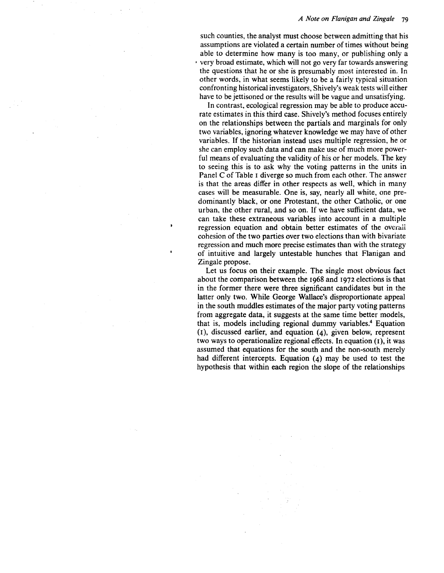# *A Note on Flanigan and Zingale*

such counties, the analyst must choose between admitting that his assumptions are violated a certain number of times without being able to determine how many is too many, or publishing only a · very broad estimate, which will not go very far towards answering the questions that he or she is presumably most interested in. In other words, in what seems likely to be a fairly typical situation confronting historical investigators, Shively's weak tests will either have to be jettisoned or the results will be vague and unsatisfying.

In contrast, ecological regression may be able to produce accurate estimates in this third case. Shively's method focuses entirely on the relationships between the partials and marginals for only two variables, ignoring whatever knowledge we may have of other variables. If the historian instead uses multiple regression, he or she can employ such data and can make use of much more powerful means of evaluating the validity of his or her models. The key to seeing this is to ask why the voting patterns in the units in Panel C of Table I diverge so much from each other. The answer is that the areas differ in other respects as well, which in many cases will be measurable. One is, say, nearly all white, one predominantly black, or one Protestant, the other Catholic, or one urban, the other rural, and so on. If we have sufficient data, we can take these extraneous variables into account in a multiple regression equation and obtain better estimates of the overall cohesion of the two parties over two elections than with bivariate regression and much more precise estimates than with the strategy of intuitive and largely untestable hunches that Flanigan and Zingale propose.

Let us focus on their example. The single most obvious fact about the comparison between the I968 and I972 elections is that in the former there were three significant candidates but in the latter only two. While George Wallace's disproportionate appeal in the south muddles estimates of the major party voting patterns from aggregate data, it suggests at the same time better models, that is, models including regional dummy variables.4 Equation (I), discussed earlier, and equation (4), given below, represent two ways to operationalize regional effects. In equation (I), it was assumed that equations for the south and the non-south merely had different intercepts. Equation (4) may be used to test the hypothesis that within each region the slope of the relationships

 $\bullet$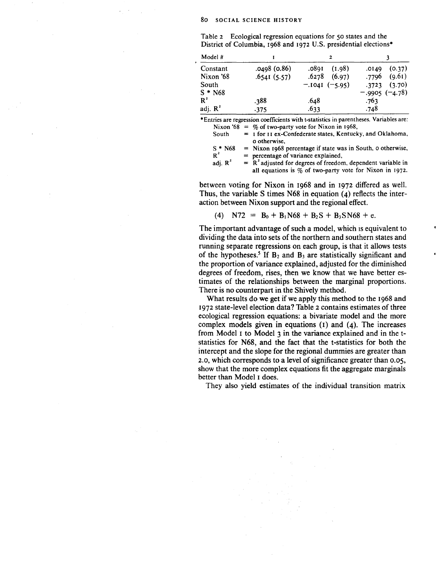Table 2 Ecological regression equations for 50 states and the District of Columbia, 1968 and 1972 U.S. presidential elections\*

| Model #    |              | 2               |                  |
|------------|--------------|-----------------|------------------|
| Constant   | .0498 (0.86) | (1.98)<br>.0891 | (0.37)<br>.0149  |
| Nixon '68  | .6541(5.57)  | (6.97)<br>.6278 | .7796<br>(9.61)  |
| South      |              | $-.1041(-5.95)$ | $.3723$ $(3.70)$ |
| $S * N68$  |              |                 | $-.9905 (-4.78)$ |
| $R^2$      | .388         | .648            | .763             |
| adj. $R^2$ | .375         | .633            | .748             |

\*Entries are regression coefficients with t-statistics in parentheses. Variables are: Nixon '68 =  $\%$  of two-party vote for Nixon in 1968,<br>South = 1 for 11 ex-Confederate states, Kentuck

 $=$  1 for 11 ex-Confederate states, Kentucky, and Oklahoma, o otherwise,

 $S^*$  N68<br>R<sup>2</sup>  $=$  Nixon 1968 percentage if state was in South, o otherwise,  $=$  percentage of variance explained,

adi.  $R^2$  $R^2$  adjusted for degrees of freedom, dependent variable in all equations is  $\%$  of two-party vote for Nixon in 1972.

between voting for Nixon in I968 and in I972 differed as well. Thus, the variable S times N68 in equation (4) reflects the interaction between Nixon support and the regional effect.

(4) 
$$
NT2 = B_0 + B_1N68 + B_2S + B_3SN68 + e
$$
.

The important advantage of such a model, which is equivalent to dividing the data into sets of the northern and southern states and running separate regressions on each group, is that it allows tests of the hypotheses.<sup>5</sup> If  $B_2$  and  $B_3$  are statistically significant and the proportion of variance explained, adjusted for the diminished degrees of freedom, rises, then we know that we have better estimates of the relationships between the marginal proportions. There is no counterpart in the Shively method.

What results do we get if we apply this method to the 1968 and I972 state-level election data? Table 2 contains estimates of three ecological regression equations: a bivariate model and the more complex models given in equations (I) and (4). The increases from Model I to Model 3 in the variance explained and in the tstatistics for N68, and the fact that the t-statistics for both the intercept and the slope for the regional dummies are greater than 2.0, which corresponds to a level of significance greater than 0.05, show that the more complex equations fit the aggregate marginals better than Model I does.

They also yield estimates of the individual transition matrix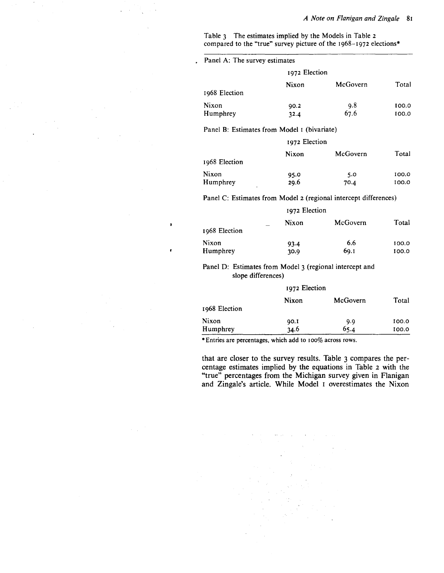# *A Note on Flanigan and Zingale* 8I

Table 3 The estimates implied by the Models in Table 2 compared to the "true" survey picture of the I968-I972 elections\*

Panel A: The survey estimates

 $\mathbf{r}$ 

|               | 1972 Election |          |       |
|---------------|---------------|----------|-------|
|               | Nixon         | McGovern | Total |
| 1968 Election |               |          |       |
| Nixon         | 90.2          | 9.8      | 100.0 |
| Humphrey      | 32.4          | 67.6     | 100.0 |

Panel B: Estimates from Model I (bivariate)

|               | 1972 Election |          |       |
|---------------|---------------|----------|-------|
|               | Nixon         | McGovern | Total |
| 1968 Election |               |          |       |
| Nixon         | 95.0          | 5.0      | 100.0 |
| Humphrey      | 29.6          | 70.4     | 100.0 |

Panel C: Estimates from Model 2 (regional intercept differences)

|               | 1972 Election |          |       |
|---------------|---------------|----------|-------|
|               | Nixon         | McGovern | Total |
| 1968 Election |               |          |       |
| Nixon         | 93.4          | 6.6      | 100.0 |
| Humphrey      | 30.9          | 69.I     | 100.0 |

Panel D: Estimates from Model 3 (regional intercept and slope differences)

|               | 1972 Election |          |       |
|---------------|---------------|----------|-------|
| 1968 Election | Nixon         | McGovern | Total |
| Nixon         | 90.I          | 9.9      | 100.0 |
| Humphrey      | 34.6          | 65.4     | 100.0 |

\*Entries are percentages, which add to 100% across rows.

that are closer to the survey results. Table 3 compares the percentage estimates implied by the equations in Table 2 with the "true" percentages from the Michigan survey given in Flanigan and Zingale's article. While Model 1 overestimates the Nixon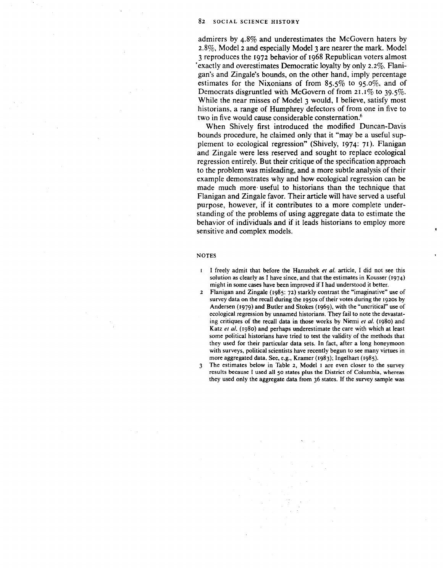admirers by 4.8% and underestimates the McGovern haters by 2.8%, Model 2 and especially Model 3 are nearer the mark. Model 3 reproduces the 1972 behavior of 1968 Republican voters almost exactly and overestimates Democratic loyalty by only 2.2%. Flanigan's and Zingale's bounds, on the other hand, imply percentage estimates for the Nixonians of from 85.5% to 95.0%, and of Democrats disgruntled with McGovern of from 21.1% to 39.5%. While the near misses of Model 3 would, I believe, satisfy most historians, a range of Humphrey defectors of from one in five to two in five would cause considerable consternation.<sup>6</sup>

When Shively first introduced the modified Duncan-Davis bounds procedure, he claimed only that it "may be a useful supplement to ecological regression" (Shively, 1974: 71). Flanigan and Zingale were less reserved and sought to replace ecological regression entirely. But their critique of the specification approach to the problem was misleading, and a more subtle analysis of their example demonstrates why and how ecological regression can be made much more· useful to historians than the technique that Flanigan and Zingale favor. Their article will have served a useful purpose, however, if it contributes to a more complete understanding of the problems of using aggregate data to estimate the behavior of individuals and if it leads historians to employ more sensitive and complex models.

#### **NOTES**

- I freely admit that before the Hanushek *et a/.* article, I did not see this solution as clearly as I have since, and that the estimates in Kousser (1974) might in some cases have been improved if I had understood it better.
- 2 Flanigan and Zingale (1985: 72) starkly contrast the "imaginative" use of survey data on the recall during the 1950s of their votes during the 1920s by Andersen (I979) and Butler and Stokes (I969), with the "uncritical" use of ecological regression by unnamed historians. They fail to note the devastating critiques of the recall data in those works by Niemi *eta/.* (I980) and Katz *et al.* (1980) and perhaps underestimate the care with which at least some political historians have tried to test the validity of the methods that they used for their particular data sets. In fact, after a long honeymoon with surveys, political scientists have recently begun to see many virtues in more aggregated data. See, e.g., Kramer (1983); Ingelhart (1985).
- 3 The estimates below in Table 2, Model 1 are even closer to the survey results because I used all 50 states plus the District of Columbia, whereas they used only the aggregate data from 36 states. If the survey sample was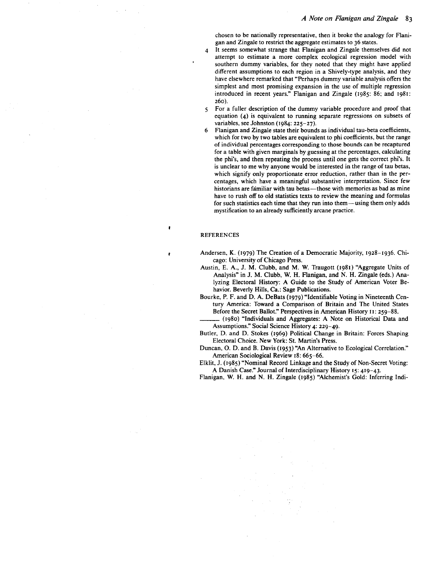chosen to be nationally representative, then it broke the analogy for Flanigan and Zingale to restrict the aggregate estimates to 36 states.

- 4 It seems somewhat strange that Flanigan and Zingale themselves did not attempt to estimate a more complex ecological regression model with southern dummy variables, for they noted that they might have applied different assumptions to each region in a Shively-type analysis, and they have elsewhere remarked that "Perhaps dummy variable analysis offers the simplest and most promising expansion in the use of multiple regression introduced in recent years." Flanigan and Zingale (I985: 86; and I98I: 260).
- 5 For a fuller description of the dummy variable procedure and proof that equation (4) is equivalent to running separate regressions on subsets of variables, see Johnston (I984: 225-27).
- 6 Flanigan and Zingale state their bounds as individual tau-beta coefficients, which for two by two tables are equivalent to phi coefficients, but the range of individual percentages corresponding to those bounds can be recaptured for a table with given marginals by guessing at the percentages, calculating the phi's, and then repeating the process until one gets the correct phi's. It is unclear to me why anyone would be interested in the range of tau betas, which signify only proportionate error reduction, rather than in the percentages, which have a meaningful substantive interpretation. Since few historians are familiar with tau betas—those with memories as bad as mine have to rush off to old statistics texts to review the meaning and formulas for such statistics each time that they run into them-using them only adds mystification to an already sufficiently arcane practice.

### REFERENCES

- Andersen, K. (I979) The Creation of a Democratic Majority, I928-I936. Chicago: University of Chicago Press.
- Austin, E. A., J. M. Clubb, and M. W. Traugott (I98I) "Aggregate Units of Analysis" in J. M. Clubb, W. H. Flanigan, and N. H. Zingale (eds.) Analyzing Electoral History: A Guide to the Study of American Voter Behavior. Beverly Hills, Ca.: Sage Publications.
- Bourke, P. F. and D. A. DeBats (I979) "Identifiable Voting in Nineteenth Century America: Toward a Comparison of Britain and The United States Before the Secret Ballot." Perspectives in American History 11: 259-88.
- \_\_\_ (I980) "Individuals and Aggregates: A Note on Historical Data and Assumptions." Social Science History 4: 229-49.
- Butler, D. and D. Stokes (I969) Political Change in Britain: Forces Shaping Electoral Choice. New York: St. Martin's Press.
- Duncan, 0. D. and B. Davis (I953) "An Alternative to Ecological Correlation." American Sociological Review I8: 665-66.

Elklit, J. (I985) "Nominal Record Linkage and the Study of Non-Secret Voting: A Danish Case." Journal of Interdisciplinary History 15: 4I9-43-

Flanigan, W. H. and N. H. Zingale (I985) "Alchemist's Gold: Inferring lndi-